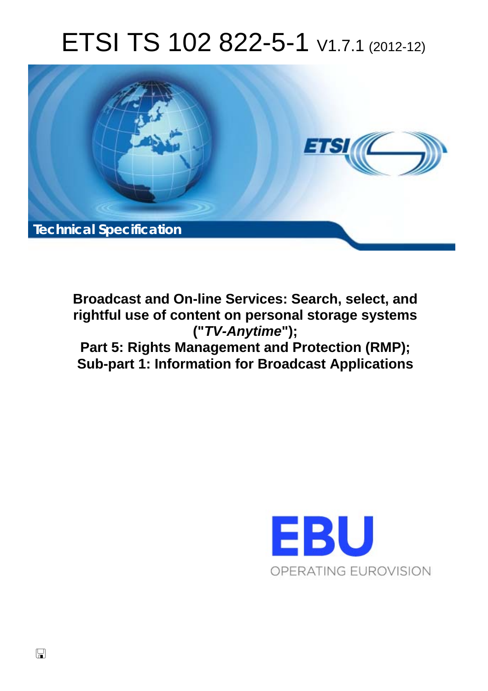# ETSI TS 102 822-5-1 V1.7.1 (2012-12)



**Broadcast and On-line Services: Search, select, and rightful use of content on personal storage systems ("***TV-Anytime***"); Part 5: Rights Management and Protection (RMP); Sub-part 1: Information for Broadcast Applications** 

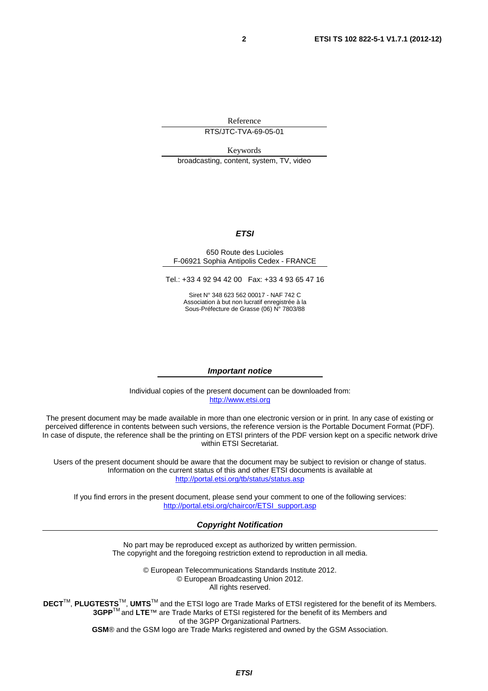Reference

RTS/JTC-TVA-69-05-01

Keywords broadcasting, content, system, TV, video

#### *ETSI*

#### 650 Route des Lucioles F-06921 Sophia Antipolis Cedex - FRANCE

Tel.: +33 4 92 94 42 00 Fax: +33 4 93 65 47 16

Siret N° 348 623 562 00017 - NAF 742 C Association à but non lucratif enregistrée à la Sous-Préfecture de Grasse (06) N° 7803/88

#### *Important notice*

Individual copies of the present document can be downloaded from: [http://www.etsi.org](http://www.etsi.org/)

The present document may be made available in more than one electronic version or in print. In any case of existing or perceived difference in contents between such versions, the reference version is the Portable Document Format (PDF). In case of dispute, the reference shall be the printing on ETSI printers of the PDF version kept on a specific network drive within ETSI Secretariat.

Users of the present document should be aware that the document may be subject to revision or change of status. Information on the current status of this and other ETSI documents is available at <http://portal.etsi.org/tb/status/status.asp>

If you find errors in the present document, please send your comment to one of the following services: [http://portal.etsi.org/chaircor/ETSI\\_support.asp](http://portal.etsi.org/chaircor/ETSI_support.asp)

#### *Copyright Notification*

No part may be reproduced except as authorized by written permission. The copyright and the foregoing restriction extend to reproduction in all media.

> © European Telecommunications Standards Institute 2012. © European Broadcasting Union 2012. All rights reserved.

**DECT**TM, **PLUGTESTS**TM, **UMTS**TM and the ETSI logo are Trade Marks of ETSI registered for the benefit of its Members. **3GPP**TM and **LTE**™ are Trade Marks of ETSI registered for the benefit of its Members and of the 3GPP Organizational Partners. **GSM**® and the GSM logo are Trade Marks registered and owned by the GSM Association.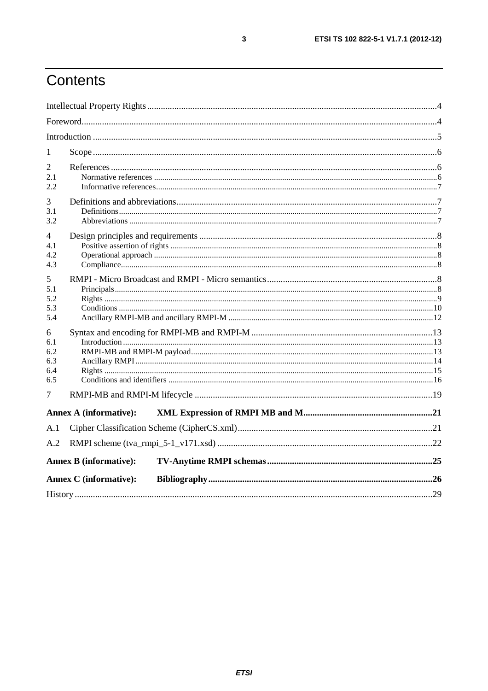# Contents

| 1                                    |                               |  |
|--------------------------------------|-------------------------------|--|
| 2<br>2.1<br>2.2.                     |                               |  |
| 3<br>3.1<br>3.2                      |                               |  |
| 4<br>4.1<br>4.2<br>4.3               |                               |  |
| 5<br>5.1<br>5.2<br>5.3<br>5.4        |                               |  |
| 6<br>6.1<br>6.2<br>6.3<br>6.4<br>6.5 |                               |  |
| 7                                    |                               |  |
|                                      | <b>Annex A (informative):</b> |  |
| A.1<br>A.2                           |                               |  |
|                                      | <b>Annex B</b> (informative): |  |
|                                      | <b>Annex C</b> (informative): |  |
|                                      |                               |  |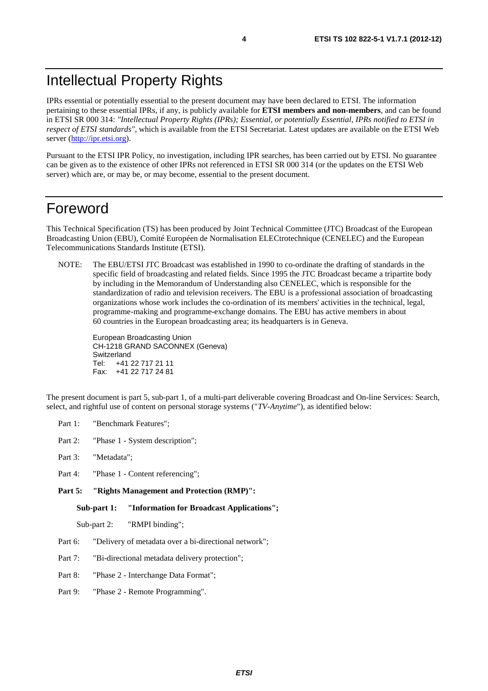IPRs essential or potentially essential to the present document may have been declared to ETSI. The information pertaining to these essential IPRs, if any, is publicly available for **ETSI members and non-members**, and can be found in ETSI SR 000 314: *"Intellectual Property Rights (IPRs); Essential, or potentially Essential, IPRs notified to ETSI in respect of ETSI standards"*, which is available from the ETSI Secretariat. Latest updates are available on the ETSI Web server [\(http://ipr.etsi.org](http://webapp.etsi.org/IPR/home.asp)).

Pursuant to the ETSI IPR Policy, no investigation, including IPR searches, has been carried out by ETSI. No guarantee can be given as to the existence of other IPRs not referenced in ETSI SR 000 314 (or the updates on the ETSI Web server) which are, or may be, or may become, essential to the present document.

### Foreword

This Technical Specification (TS) has been produced by Joint Technical Committee (JTC) Broadcast of the European Broadcasting Union (EBU), Comité Européen de Normalisation ELECtrotechnique (CENELEC) and the European Telecommunications Standards Institute (ETSI).

NOTE: The EBU/ETSI JTC Broadcast was established in 1990 to co-ordinate the drafting of standards in the specific field of broadcasting and related fields. Since 1995 the JTC Broadcast became a tripartite body by including in the Memorandum of Understanding also CENELEC, which is responsible for the standardization of radio and television receivers. The EBU is a professional association of broadcasting organizations whose work includes the co-ordination of its members' activities in the technical, legal, programme-making and programme-exchange domains. The EBU has active members in about 60 countries in the European broadcasting area; its headquarters is in Geneva.

European Broadcasting Union CH-1218 GRAND SACONNEX (Geneva) Switzerland Tel: +41 22 717 21 11 Fax: +41 22 717 24 81

The present document is part 5, sub-part 1, of a multi-part deliverable covering Broadcast and On-line Services: Search, select, and rightful use of content on personal storage systems ("*TV-Anytime*"), as identified below:

- Part 1: "Benchmark Features";
- Part 2: "Phase 1 System description";
- Part 3: "Metadata";
- Part 4: "Phase 1 Content referencing";
- **Part 5: "Rights Management and Protection (RMP)":**

**Sub-part 1: "Information for Broadcast Applications";** 

Sub-part 2: "RMPI binding";

- Part 6: "Delivery of metadata over a bi-directional network";
- Part 7: "Bi-directional metadata delivery protection";
- Part 8: "Phase 2 Interchange Data Format";
- Part 9: "Phase 2 Remote Programming".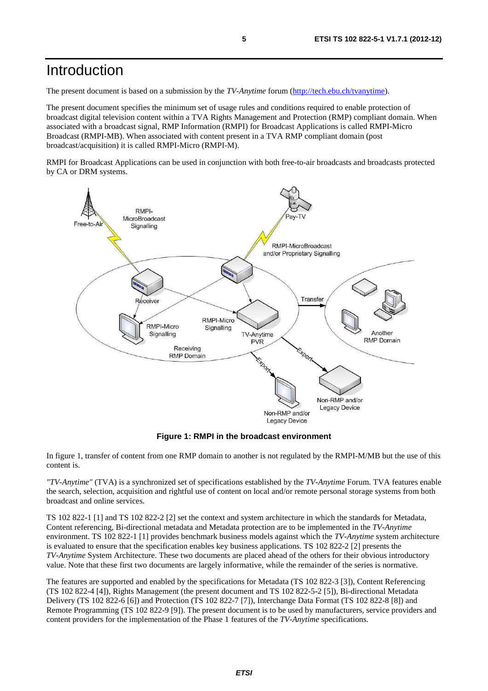### Introduction

The present document is based on a submission by the *TV-Anytime* forum [\(http://tech.ebu.ch/tvanytime](http://tech.ebu.ch/tvanytime)).

The present document specifies the minimum set of usage rules and conditions required to enable protection of broadcast digital television content within a TVA Rights Management and Protection (RMP) compliant domain. When associated with a broadcast signal, RMP Information (RMPI) for Broadcast Applications is called RMPI-Micro Broadcast (RMPI-MB). When associated with content present in a TVA RMP compliant domain (post broadcast/acquisition) it is called RMPI-Micro (RMPI-M).

RMPI for Broadcast Applications can be used in conjunction with both free-to-air broadcasts and broadcasts protected by CA or DRM systems.



**Figure 1: RMPI in the broadcast environment** 

In figure 1, transfer of content from one RMP domain to another is not regulated by the RMPI-M/MB but the use of this content is.

*"TV-Anytime"* (TVA) is a synchronized set of specifications established by the *TV-Anytime* Forum. TVA features enable the search, selection, acquisition and rightful use of content on local and/or remote personal storage systems from both broadcast and online services.

TS 102 822-1 [1] and TS 102 822-2 [2] set the context and system architecture in which the standards for Metadata, Content referencing, Bi-directional metadata and Metadata protection are to be implemented in the *TV-Anytime* environment. TS 102 822-1 [1] provides benchmark business models against which the *TV-Anytime* system architecture is evaluated to ensure that the specification enables key business applications. TS 102 822-2 [2] presents the *TV-Anytime* System Architecture. These two documents are placed ahead of the others for their obvious introductory value. Note that these first two documents are largely informative, while the remainder of the series is normative.

The features are supported and enabled by the specifications for Metadata (TS 102 822-3 [3]), Content Referencing (TS 102 822-4 [4]), Rights Management (the present document and TS 102 822-5-2 [5]), Bi-directional Metadata Delivery (TS 102 822-6 [6]) and Protection (TS 102 822-7 [7]), Interchange Data Format (TS 102 822-8 [8]) and Remote Programming (TS 102 822-9 [9]). The present document is to be used by manufacturers, service providers and content providers for the implementation of the Phase 1 features of the *TV-Anytime* specifications.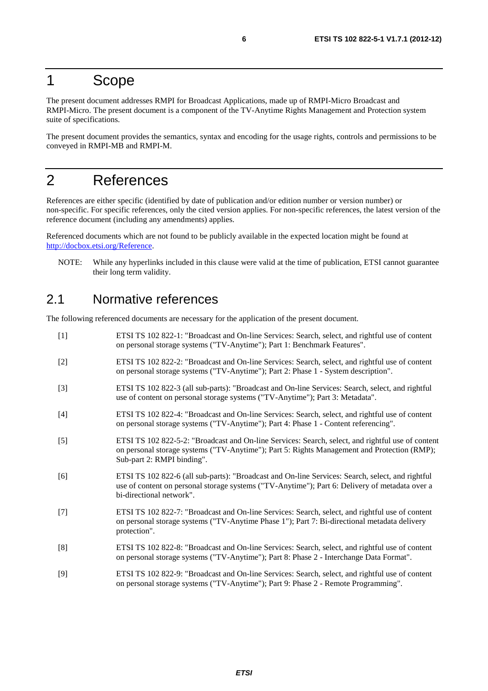### 1 Scope

The present document addresses RMPI for Broadcast Applications, made up of RMPI-Micro Broadcast and RMPI-Micro. The present document is a component of the TV-Anytime Rights Management and Protection system suite of specifications.

The present document provides the semantics, syntax and encoding for the usage rights, controls and permissions to be conveyed in RMPI-MB and RMPI-M.

### 2 References

References are either specific (identified by date of publication and/or edition number or version number) or non-specific. For specific references, only the cited version applies. For non-specific references, the latest version of the reference document (including any amendments) applies.

Referenced documents which are not found to be publicly available in the expected location might be found at <http://docbox.etsi.org/Reference>.

NOTE: While any hyperlinks included in this clause were valid at the time of publication, ETSI cannot guarantee their long term validity.

### 2.1 Normative references

The following referenced documents are necessary for the application of the present document.

[1] ETSI TS 102 822-1: "Broadcast and On-line Services: Search, select, and rightful use of content on personal storage systems ("TV-Anytime"); Part 1: Benchmark Features". [2] ETSI TS 102 822-2: "Broadcast and On-line Services: Search, select, and rightful use of content on personal storage systems ("TV-Anytime"); Part 2: Phase 1 - System description". [3] ETSI TS 102 822-3 (all sub-parts): "Broadcast and On-line Services: Search, select, and rightful use of content on personal storage systems ("TV-Anytime"); Part 3: Metadata". [4] ETSI TS 102 822-4: "Broadcast and On-line Services: Search, select, and rightful use of content on personal storage systems ("TV-Anytime"); Part 4: Phase 1 - Content referencing". [5] ETSI TS 102 822-5-2: "Broadcast and On-line Services: Search, select, and rightful use of content on personal storage systems ("TV-Anytime"); Part 5: Rights Management and Protection (RMP); Sub-part 2: RMPI binding". [6] ETSI TS 102 822-6 (all sub-parts): "Broadcast and On-line Services: Search, select, and rightful use of content on personal storage systems ("TV-Anytime"); Part 6: Delivery of metadata over a bi-directional network". [7] ETSI TS 102 822-7: "Broadcast and On-line Services: Search, select, and rightful use of content on personal storage systems ("TV-Anytime Phase 1"); Part 7: Bi-directional metadata delivery protection". [8] ETSI TS 102 822-8: "Broadcast and On-line Services: Search, select, and rightful use of content on personal storage systems ("TV-Anytime"); Part 8: Phase 2 - Interchange Data Format". [9] ETSI TS 102 822-9: "Broadcast and On-line Services: Search, select, and rightful use of content on personal storage systems ("TV-Anytime"); Part 9: Phase 2 - Remote Programming".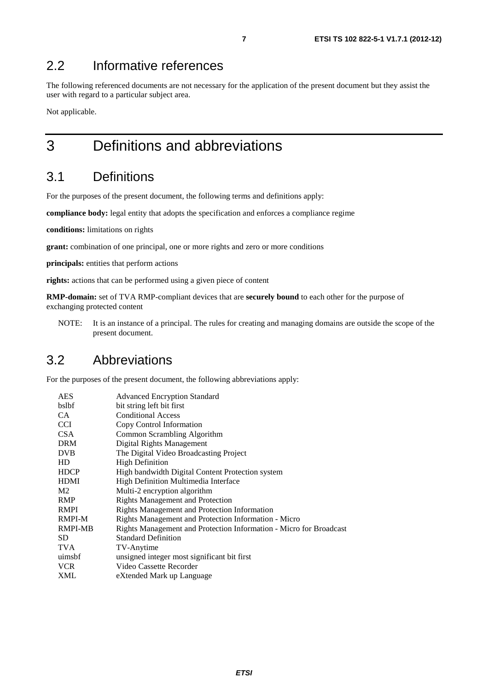### 2.2 Informative references

The following referenced documents are not necessary for the application of the present document but they assist the user with regard to a particular subject area.

Not applicable.

## 3 Definitions and abbreviations

### 3.1 Definitions

For the purposes of the present document, the following terms and definitions apply:

**compliance body:** legal entity that adopts the specification and enforces a compliance regime

**conditions:** limitations on rights

**grant:** combination of one principal, one or more rights and zero or more conditions

**principals:** entities that perform actions

**rights:** actions that can be performed using a given piece of content

**RMP-domain:** set of TVA RMP-compliant devices that are **securely bound** to each other for the purpose of exchanging protected content

NOTE: It is an instance of a principal. The rules for creating and managing domains are outside the scope of the present document.

### 3.2 Abbreviations

For the purposes of the present document, the following abbreviations apply:

| <b>Advanced Encryption Standard</b>                                |
|--------------------------------------------------------------------|
| bit string left bit first                                          |
| <b>Conditional Access</b>                                          |
| Copy Control Information                                           |
| Common Scrambling Algorithm                                        |
| Digital Rights Management                                          |
| The Digital Video Broadcasting Project                             |
| <b>High Definition</b>                                             |
| High bandwidth Digital Content Protection system                   |
| High Definition Multimedia Interface                               |
| Multi-2 encryption algorithm                                       |
| <b>Rights Management and Protection</b>                            |
| Rights Management and Protection Information                       |
| Rights Management and Protection Information - Micro               |
| Rights Management and Protection Information - Micro for Broadcast |
| <b>Standard Definition</b>                                         |
| TV-Anytime                                                         |
| unsigned integer most significant bit first                        |
| Video Cassette Recorder                                            |
| eXtended Mark up Language                                          |
|                                                                    |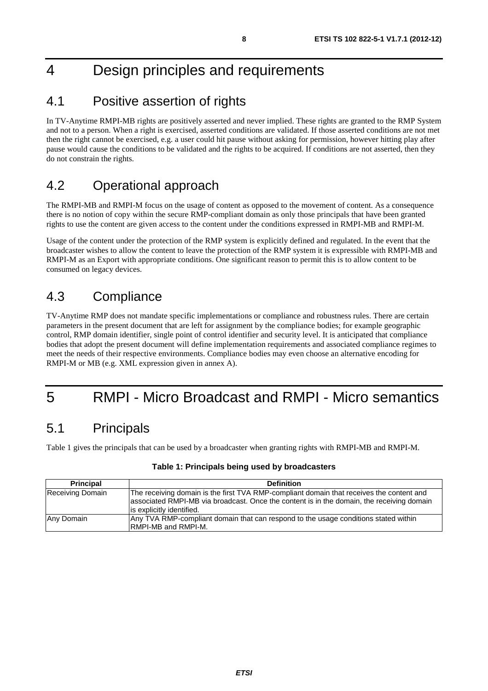# 4 Design principles and requirements

### 4.1 Positive assertion of rights

In TV-Anytime RMPI-MB rights are positively asserted and never implied. These rights are granted to the RMP System and not to a person. When a right is exercised, asserted conditions are validated. If those asserted conditions are not met then the right cannot be exercised, e.g. a user could hit pause without asking for permission, however hitting play after pause would cause the conditions to be validated and the rights to be acquired. If conditions are not asserted, then they do not constrain the rights.

### 4.2 Operational approach

The RMPI-MB and RMPI-M focus on the usage of content as opposed to the movement of content. As a consequence there is no notion of copy within the secure RMP-compliant domain as only those principals that have been granted rights to use the content are given access to the content under the conditions expressed in RMPI-MB and RMPI-M.

Usage of the content under the protection of the RMP system is explicitly defined and regulated. In the event that the broadcaster wishes to allow the content to leave the protection of the RMP system it is expressible with RMPI-MB and RMPI-M as an Export with appropriate conditions. One significant reason to permit this is to allow content to be consumed on legacy devices.

### 4.3 Compliance

TV-Anytime RMP does not mandate specific implementations or compliance and robustness rules. There are certain parameters in the present document that are left for assignment by the compliance bodies; for example geographic control, RMP domain identifier, single point of control identifier and security level. It is anticipated that compliance bodies that adopt the present document will define implementation requirements and associated compliance regimes to meet the needs of their respective environments. Compliance bodies may even choose an alternative encoding for RMPI-M or MB (e.g. XML expression given in annex A).

# 5 RMPI - Micro Broadcast and RMPI - Micro semantics

### 5.1 Principals

Table 1 gives the principals that can be used by a broadcaster when granting rights with RMPI-MB and RMPI-M.

| <b>Principal</b> | <b>Definition</b>                                                                                                                                                                                                  |
|------------------|--------------------------------------------------------------------------------------------------------------------------------------------------------------------------------------------------------------------|
| Receiving Domain | The receiving domain is the first TVA RMP-compliant domain that receives the content and<br>associated RMPI-MB via broadcast. Once the content is in the domain, the receiving domain<br>is explicitly identified. |
| Any Domain       | Any TVA RMP-compliant domain that can respond to the usage conditions stated within<br><b>IRMPI-MB and RMPI-M.</b>                                                                                                 |

#### **Table 1: Principals being used by broadcasters**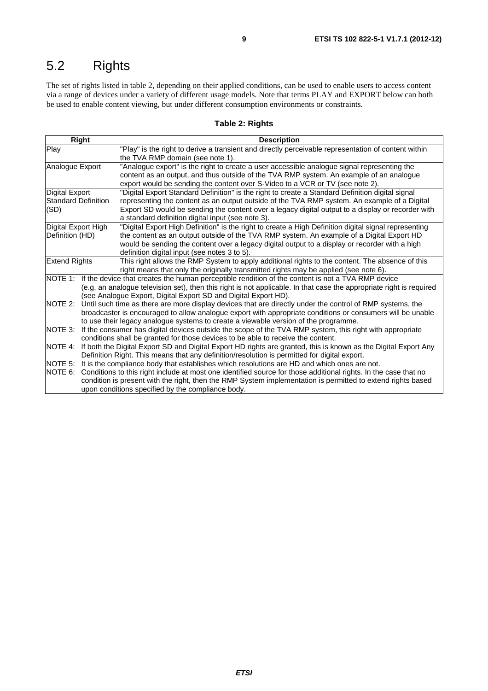# 5.2 Rights

The set of rights listed in table 2, depending on their applied conditions, can be used to enable users to access content via a range of devices under a variety of different usage models. Note that terms PLAY and EXPORT below can both be used to enable content viewing, but under different consumption environments or constraints.

#### **Table 2: Rights**

| Right                      | <b>Description</b>                                                                                                   |  |  |
|----------------------------|----------------------------------------------------------------------------------------------------------------------|--|--|
| Play                       | "Play" is the right to derive a transient and directly perceivable representation of content within                  |  |  |
|                            | the TVA RMP domain (see note 1).                                                                                     |  |  |
| Analogue Export            | "Analogue export" is the right to create a user accessible analogue signal representing the                          |  |  |
|                            | content as an output, and thus outside of the TVA RMP system. An example of an analogue                              |  |  |
|                            | export would be sending the content over S-Video to a VCR or TV (see note 2).                                        |  |  |
| <b>Digital Export</b>      | "Digital Export Standard Definition" is the right to create a Standard Definition digital signal                     |  |  |
| <b>Standard Definition</b> | representing the content as an output outside of the TVA RMP system. An example of a Digital                         |  |  |
| (SD)                       | Export SD would be sending the content over a legacy digital output to a display or recorder with                    |  |  |
|                            | a standard definition digital input (see note 3).                                                                    |  |  |
| Digital Export High        | "Digital Export High Definition" is the right to create a High Definition digital signal representing                |  |  |
| Definition (HD)            | the content as an output outside of the TVA RMP system. An example of a Digital Export HD                            |  |  |
|                            | would be sending the content over a legacy digital output to a display or recorder with a high                       |  |  |
|                            | definition digital input (see notes 3 to 5).                                                                         |  |  |
| <b>Extend Rights</b>       | This right allows the RMP System to apply additional rights to the content. The absence of this                      |  |  |
|                            | right means that only the originally transmitted rights may be applied (see note 6).                                 |  |  |
|                            | NOTE 1: If the device that creates the human perceptible rendition of the content is not a TVA RMP device            |  |  |
|                            | (e.g. an analogue television set), then this right is not applicable. In that case the appropriate right is required |  |  |
|                            | (see Analogue Export, Digital Export SD and Digital Export HD).                                                      |  |  |
| NOTE 2:                    | Until such time as there are more display devices that are directly under the control of RMP systems, the            |  |  |
|                            | broadcaster is encouraged to allow analogue export with appropriate conditions or consumers will be unable           |  |  |
|                            | to use their legacy analogue systems to create a viewable version of the programme.                                  |  |  |
| INOTE 3:                   | If the consumer has digital devices outside the scope of the TVA RMP system, this right with appropriate             |  |  |
|                            | conditions shall be granted for those devices to be able to receive the content.                                     |  |  |
| <b>NOTE 4:</b>             | If both the Digital Export SD and Digital Export HD rights are granted, this is known as the Digital Export Any      |  |  |
|                            | Definition Right. This means that any definition/resolution is permitted for digital export.                         |  |  |
| NOTE 5:                    | It is the compliance body that establishes which resolutions are HD and which ones are not.                          |  |  |
| NOTE 6:                    | Conditions to this right include at most one identified source for those additional rights. In the case that no      |  |  |
|                            | condition is present with the right, then the RMP System implementation is permitted to extend rights based          |  |  |
|                            | upon conditions specified by the compliance body.                                                                    |  |  |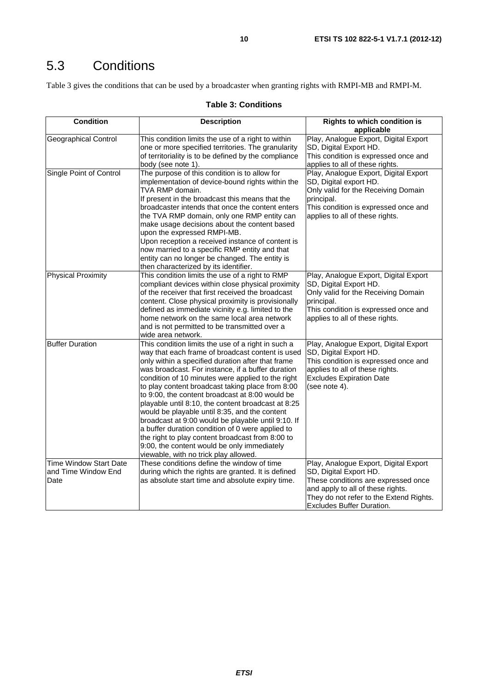Table 3 gives the conditions that can be used by a broadcaster when granting rights with RMPI-MB and RMPI-M.

#### **Table 3: Conditions**

| <b>Condition</b>                                             | <b>Description</b>                                                                                                                                                                                                                                                                                                                                                                                                                                                                                                                                                                                                                                                                                                                        | <b>Rights to which condition is</b><br>applicable                                                                                                                                                                   |
|--------------------------------------------------------------|-------------------------------------------------------------------------------------------------------------------------------------------------------------------------------------------------------------------------------------------------------------------------------------------------------------------------------------------------------------------------------------------------------------------------------------------------------------------------------------------------------------------------------------------------------------------------------------------------------------------------------------------------------------------------------------------------------------------------------------------|---------------------------------------------------------------------------------------------------------------------------------------------------------------------------------------------------------------------|
| <b>Geographical Control</b>                                  | This condition limits the use of a right to within<br>one or more specified territories. The granularity<br>of territoriality is to be defined by the compliance<br>body (see note 1).                                                                                                                                                                                                                                                                                                                                                                                                                                                                                                                                                    | Play, Analogue Export, Digital Export<br>SD, Digital Export HD.<br>This condition is expressed once and<br>applies to all of these rights.                                                                          |
| Single Point of Control                                      | The purpose of this condition is to allow for<br>implementation of device-bound rights within the<br>TVA RMP domain.<br>If present in the broadcast this means that the<br>broadcaster intends that once the content enters<br>the TVA RMP domain, only one RMP entity can<br>make usage decisions about the content based<br>upon the expressed RMPI-MB.<br>Upon reception a received instance of content is<br>now married to a specific RMP entity and that<br>entity can no longer be changed. The entity is<br>then characterized by its identifier.                                                                                                                                                                                 | Play, Analogue Export, Digital Export<br>SD, Digital export HD.<br>Only valid for the Receiving Domain<br>principal.<br>This condition is expressed once and<br>applies to all of these rights.                     |
| <b>Physical Proximity</b>                                    | This condition limits the use of a right to RMP<br>compliant devices within close physical proximity<br>of the receiver that first received the broadcast<br>content. Close physical proximity is provisionally<br>defined as immediate vicinity e.g. limited to the<br>home network on the same local area network<br>and is not permitted to be transmitted over a<br>wide area network.                                                                                                                                                                                                                                                                                                                                                | Play, Analogue Export, Digital Export<br>SD, Digital Export HD.<br>Only valid for the Receiving Domain<br>principal.<br>This condition is expressed once and<br>applies to all of these rights.                     |
| <b>Buffer Duration</b>                                       | This condition limits the use of a right in such a<br>way that each frame of broadcast content is used<br>only within a specified duration after that frame<br>was broadcast. For instance, if a buffer duration<br>condition of 10 minutes were applied to the right<br>to play content broadcast taking place from 8:00<br>to 9:00, the content broadcast at 8:00 would be<br>playable until 8:10, the content broadcast at 8:25<br>would be playable until 8:35, and the content<br>broadcast at 9:00 would be playable until 9:10. If<br>a buffer duration condition of 0 were applied to<br>the right to play content broadcast from 8:00 to<br>9:00, the content would be only immediately<br>viewable, with no trick play allowed. | Play, Analogue Export, Digital Export<br>SD, Digital Export HD.<br>This condition is expressed once and<br>applies to all of these rights.<br><b>Excludes Expiration Date</b><br>(see note 4).                      |
| <b>Time Window Start Date</b><br>and Time Window End<br>Date | These conditions define the window of time<br>during which the rights are granted. It is defined<br>as absolute start time and absolute expiry time.                                                                                                                                                                                                                                                                                                                                                                                                                                                                                                                                                                                      | Play, Analogue Export, Digital Export<br>SD, Digital Export HD.<br>These conditions are expressed once<br>and apply to all of these rights.<br>They do not refer to the Extend Rights.<br>Excludes Buffer Duration. |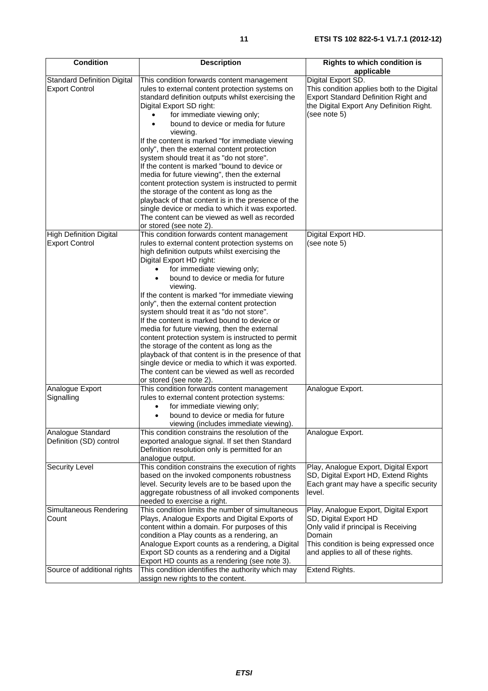| <b>Condition</b>                                               | <b>Description</b>                                                                                                                                                                                                                                                                                                                                                                                                                                                                                                                                                                                                                                                                                                                                                                                      | <b>Rights to which condition is</b><br>applicable                                                                                                                                                                   |
|----------------------------------------------------------------|---------------------------------------------------------------------------------------------------------------------------------------------------------------------------------------------------------------------------------------------------------------------------------------------------------------------------------------------------------------------------------------------------------------------------------------------------------------------------------------------------------------------------------------------------------------------------------------------------------------------------------------------------------------------------------------------------------------------------------------------------------------------------------------------------------|---------------------------------------------------------------------------------------------------------------------------------------------------------------------------------------------------------------------|
| <b>Standard Definition Digital</b><br><b>Export Control</b>    | This condition forwards content management<br>rules to external content protection systems on<br>standard definition outputs whilst exercising the<br>Digital Export SD right:<br>for immediate viewing only;<br>bound to device or media for future<br>viewing.<br>If the content is marked "for immediate viewing<br>only", then the external content protection<br>system should treat it as "do not store".<br>If the content is marked "bound to device or<br>media for future viewing", then the external<br>content protection system is instructed to permit<br>the storage of the content as long as the<br>playback of that content is in the presence of the<br>single device or media to which it was exported.<br>The content can be viewed as well as recorded<br>or stored (see note 2). | Digital Export SD.<br>This condition applies both to the Digital<br>Export Standard Definition Right and<br>the Digital Export Any Definition Right.<br>(see note 5)                                                |
| <b>High Definition Digital</b><br><b>Export Control</b>        | This condition forwards content management<br>rules to external content protection systems on<br>high definition outputs whilst exercising the<br>Digital Export HD right:<br>for immediate viewing only;<br>bound to device or media for future<br>viewing.<br>If the content is marked "for immediate viewing<br>only", then the external content protection<br>system should treat it as "do not store".<br>If the content is marked bound to device or<br>media for future viewing, then the external<br>content protection system is instructed to permit<br>the storage of the content as long as the<br>playback of that content is in the presence of that<br>single device or media to which it was exported.<br>The content can be viewed as well as recorded<br>or stored (see note 2).      | Digital Export HD.<br>(see note 5)                                                                                                                                                                                  |
| Analogue Export<br>Signalling                                  | This condition forwards content management<br>rules to external content protection systems:<br>for immediate viewing only;<br>bound to device or media for future<br>viewing (includes immediate viewing).                                                                                                                                                                                                                                                                                                                                                                                                                                                                                                                                                                                              | Analogue Export.                                                                                                                                                                                                    |
| Analogue Standard<br>Definition (SD) control                   | This condition constrains the resolution of the<br>exported analogue signal. If set then Standard<br>Definition resolution only is permitted for an<br>analogue output.                                                                                                                                                                                                                                                                                                                                                                                                                                                                                                                                                                                                                                 | Analogue Export.                                                                                                                                                                                                    |
| <b>Security Level</b>                                          | This condition constrains the execution of rights<br>based on the invoked components robustness<br>level. Security levels are to be based upon the<br>aggregate robustness of all invoked components<br>needed to exercise a right.                                                                                                                                                                                                                                                                                                                                                                                                                                                                                                                                                                     | Play, Analogue Export, Digital Export<br>SD, Digital Export HD, Extend Rights<br>Each grant may have a specific security<br>level.                                                                                  |
| Simultaneous Rendering<br>Count<br>Source of additional rights | This condition limits the number of simultaneous<br>Plays, Analogue Exports and Digital Exports of<br>content within a domain. For purposes of this<br>condition a Play counts as a rendering, an<br>Analogue Export counts as a rendering, a Digital<br>Export SD counts as a rendering and a Digital<br>Export HD counts as a rendering (see note 3).<br>This condition identifies the authority which may                                                                                                                                                                                                                                                                                                                                                                                            | Play, Analogue Export, Digital Export<br>SD, Digital Export HD<br>Only valid if principal is Receiving<br>Domain<br>This condition is being expressed once<br>and applies to all of these rights.<br>Extend Rights. |
|                                                                | assign new rights to the content.                                                                                                                                                                                                                                                                                                                                                                                                                                                                                                                                                                                                                                                                                                                                                                       |                                                                                                                                                                                                                     |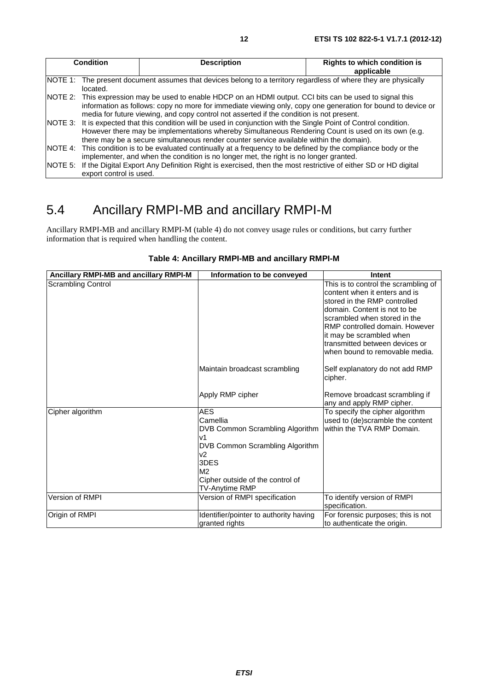| <b>Condition</b>                                                                                                                                                                                                                                                                                                     | <b>Description</b> | <b>Rights to which condition is</b><br>applicable |
|----------------------------------------------------------------------------------------------------------------------------------------------------------------------------------------------------------------------------------------------------------------------------------------------------------------------|--------------------|---------------------------------------------------|
| NOTE 1: The present document assumes that devices belong to a territory regardless of where they are physically<br>located.                                                                                                                                                                                          |                    |                                                   |
| NOTE 2: This expression may be used to enable HDCP on an HDMI output. CCI bits can be used to signal this<br>information as follows: copy no more for immediate viewing only, copy one generation for bound to device or<br>media for future viewing, and copy control not asserted if the condition is not present. |                    |                                                   |
| NOTE 3: It is expected that this condition will be used in conjunction with the Single Point of Control condition.<br>However there may be implementations whereby Simultaneous Rendering Count is used on its own (e.g.<br>there may be a secure simultaneous render counter service available within the domain).  |                    |                                                   |
| NOTE 4: This condition is to be evaluated continually at a frequency to be defined by the compliance body or the<br>implementer, and when the condition is no longer met, the right is no longer granted.                                                                                                            |                    |                                                   |
| NOTE 5: If the Digital Export Any Definition Right is exercised, then the most restrictive of either SD or HD digital<br>export control is used.                                                                                                                                                                     |                    |                                                   |

### 5.4 Ancillary RMPI-MB and ancillary RMPI-M

Ancillary RMPI-MB and ancillary RMPI-M (table 4) do not convey usage rules or conditions, but carry further information that is required when handling the content.

| Ancillary RMPI-MB and ancillary RMPI-M | Information to be conveyed             | Intent                                        |
|----------------------------------------|----------------------------------------|-----------------------------------------------|
| <b>Scrambling Control</b>              |                                        | This is to control the scrambling of          |
|                                        |                                        | content when it enters and is                 |
|                                        |                                        | stored in the RMP controlled                  |
|                                        |                                        | domain. Content is not to be                  |
|                                        |                                        | scrambled when stored in the                  |
|                                        |                                        | RMP controlled domain. However                |
|                                        |                                        | it may be scrambled when                      |
|                                        |                                        | transmitted between devices or                |
|                                        |                                        | when bound to removable media.                |
|                                        | Maintain broadcast scrambling          | Self explanatory do not add RMP               |
|                                        |                                        | cipher.                                       |
|                                        | Apply RMP cipher                       | Remove broadcast scrambling if                |
|                                        |                                        | any and apply RMP cipher.                     |
| Cipher algorithm                       | <b>AES</b>                             | To specify the cipher algorithm               |
|                                        | Camellia                               | used to (de)scramble the content              |
|                                        | DVB Common Scrambling Algorithm        | within the TVA RMP Domain.                    |
|                                        | v1                                     |                                               |
|                                        | DVB Common Scrambling Algorithm        |                                               |
|                                        | v2                                     |                                               |
|                                        | 3DES                                   |                                               |
|                                        | M <sub>2</sub>                         |                                               |
|                                        | Cipher outside of the control of       |                                               |
|                                        | TV-Anytime RMP                         |                                               |
| Version of RMPI                        | Version of RMPI specification          | To identify version of RMPI<br>specification. |
| Origin of RMPI                         | Identifier/pointer to authority having | For forensic purposes; this is not            |
|                                        | granted rights                         | to authenticate the origin.                   |

#### **Table 4: Ancillary RMPI-MB and ancillary RMPI-M**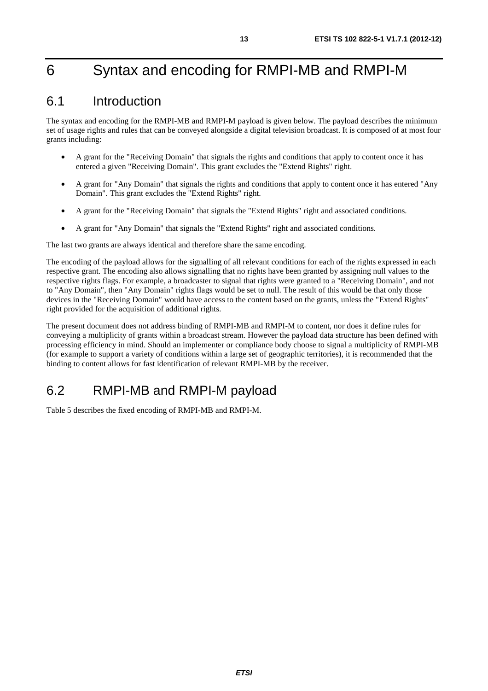# 6 Syntax and encoding for RMPI-MB and RMPI-M

### 6.1 Introduction

The syntax and encoding for the RMPI-MB and RMPI-M payload is given below. The payload describes the minimum set of usage rights and rules that can be conveyed alongside a digital television broadcast. It is composed of at most four grants including:

- A grant for the "Receiving Domain" that signals the rights and conditions that apply to content once it has entered a given "Receiving Domain". This grant excludes the "Extend Rights" right.
- A grant for "Any Domain" that signals the rights and conditions that apply to content once it has entered "Any Domain". This grant excludes the "Extend Rights" right.
- A grant for the "Receiving Domain" that signals the "Extend Rights" right and associated conditions.
- A grant for "Any Domain" that signals the "Extend Rights" right and associated conditions.

The last two grants are always identical and therefore share the same encoding.

The encoding of the payload allows for the signalling of all relevant conditions for each of the rights expressed in each respective grant. The encoding also allows signalling that no rights have been granted by assigning null values to the respective rights flags. For example, a broadcaster to signal that rights were granted to a "Receiving Domain", and not to "Any Domain", then "Any Domain" rights flags would be set to null. The result of this would be that only those devices in the "Receiving Domain" would have access to the content based on the grants, unless the "Extend Rights" right provided for the acquisition of additional rights.

The present document does not address binding of RMPI-MB and RMPI-M to content, nor does it define rules for conveying a multiplicity of grants within a broadcast stream. However the payload data structure has been defined with processing efficiency in mind. Should an implementer or compliance body choose to signal a multiplicity of RMPI-MB (for example to support a variety of conditions within a large set of geographic territories), it is recommended that the binding to content allows for fast identification of relevant RMPI-MB by the receiver.

### 6.2 RMPI-MB and RMPI-M payload

Table 5 describes the fixed encoding of RMPI-MB and RMPI-M.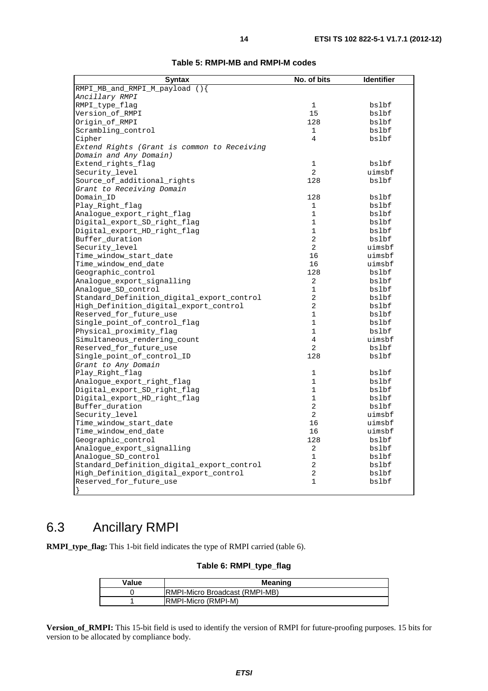| <b>Syntax</b>                               | No. of bits    | <b>Identifier</b> |
|---------------------------------------------|----------------|-------------------|
| RMPI_MB_and_RMPI_M_payload (){              |                |                   |
| Ancillary RMPI                              |                |                   |
| RMPI_type_flaq                              | $\mathbf 1$    | bslbf             |
| Version_of_RMPI                             | 15             | bslbf             |
| Origin of RMPI                              | 128            | bslbf             |
| Scrambling_control                          | $\mathbf 1$    | bslbf             |
| Cipher                                      | $\overline{4}$ | bslbf             |
| Extend Rights (Grant is common to Receiving |                |                   |
| Domain and Any Domain)                      |                |                   |
| Extend_rights_flag                          | $\mathbf{1}$   | bslbf             |
| Security_level                              | $\overline{2}$ | uimsbf            |
| Source_of_additional_rights                 | 128            | bslbf             |
| Grant to Receiving Domain                   |                |                   |
| Domain_ID                                   | 128            | bslbf             |
| Play_Right_flag                             | 1              | bslbf             |
| Analogue_export_right_flag                  | $\mathbf 1$    | bslbf             |
| Digital_export_SD_right_flag                | $\mathbf{1}$   | bslbf             |
| Digital_export_HD_right_flag                | $\mathbf{1}$   | bslbf             |
| Buffer_duration                             | $\overline{a}$ | bslbf             |
| Security_level                              | $\overline{2}$ | uimsbf            |
| Time_window_start_date                      | 16             | uimsbf            |
|                                             | 16             | uimsbf            |
| Time_window_end_date                        | 128            | bslbf             |
| Geographic_control                          |                |                   |
| Analogue_export_signalling                  | $\overline{2}$ | bslbf             |
| Analoque SD control                         | 1              | bslbf             |
| Standard Definition digital export control  | 2              | bslbf             |
| High Definition digital export control      | 2              | bslbf             |
| Reserved for future use                     | $\mathbf{1}$   | bslbf             |
| Single_point_of_control_flag                | $\mathbf{1}$   | bslbf             |
| Physical_proximity_flag                     | $\mathbf{1}$   | bslbf             |
| Simultaneous rendering count                | $\overline{4}$ | uimsbf            |
| Reserved_for_future_use                     | $\overline{a}$ | bslbf             |
| Single point of control ID                  | 128            | bslbf             |
| Grant to Any Domain                         |                |                   |
| Play_Right_flag                             | 1              | bslbf             |
| Analoque_export_right_flaq                  | $\mathbf{1}$   | bslbf             |
| Digital_export_SD_right_flag                | $\mathbf{1}$   | bslbf             |
| Digital_export_HD_right_flag                | $\mathbf{1}$   | bslbf             |
| Buffer_duration                             | $\overline{2}$ | bslbf             |
| Security_level                              | $\overline{2}$ | uimsbf            |
| Time_window_start_date                      | 16             | uimsbf            |
| Time_window_end_date                        | 16             | uimsbf            |
| Geographic_control                          | 128            | bslbf             |
| Analogue_export_signalling                  | 2              | bslbf             |
| Analoque SD control                         | 1              | bslbf             |
| Standard Definition digital export control  | $\overline{2}$ | bslbf             |
| High_Definition_digital_export_control      | 2              | bslbf             |
| Reserved for future use                     | 1              | bslbf             |
|                                             |                |                   |

#### **Table 5: RMPI-MB and RMPI-M codes**

### 6.3 Ancillary RMPI

**RMPI\_type\_flag:** This 1-bit field indicates the type of RMPI carried (table 6).

#### **Table 6: RMPI\_type\_flag**

| Value | <b>Meaning</b>                         |  |
|-------|----------------------------------------|--|
|       | <b>IRMPI-Micro Broadcast (RMPI-MB)</b> |  |
|       | <b>RMPI-Micro (RMPI-M)</b>             |  |

**Version\_of\_RMPI:** This 15-bit field is used to identify the version of RMPI for future-proofing purposes. 15 bits for version to be allocated by compliance body.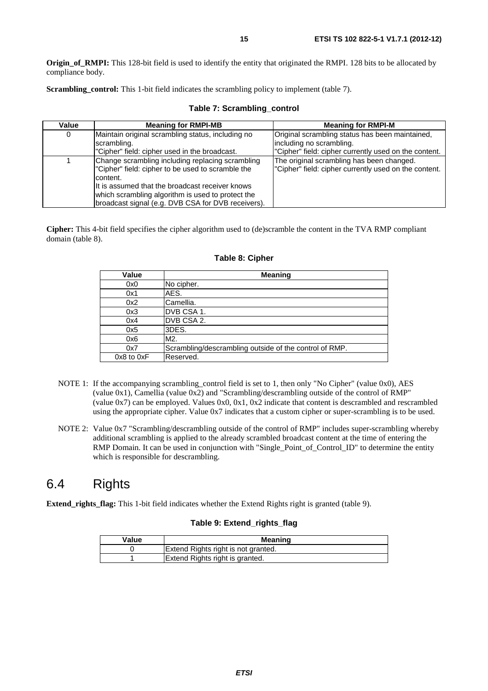**Origin of RMPI:** This 128-bit field is used to identify the entity that originated the RMPI. 128 bits to be allocated by compliance body.

**Scrambling\_control:** This 1-bit field indicates the scrambling policy to implement (table 7).

| Value | <b>Meaning for RMPI-MB</b>                                                                                        | <b>Meaning for RMPI-M</b>                                                                          |
|-------|-------------------------------------------------------------------------------------------------------------------|----------------------------------------------------------------------------------------------------|
| 0     | Maintain original scrambling status, including no                                                                 | Original scrambling status has been maintained,                                                    |
|       | scrambling.                                                                                                       | including no scrambling.                                                                           |
|       | "Cipher" field: cipher used in the broadcast.                                                                     | "Cipher" field: cipher currently used on the content.                                              |
|       | Change scrambling including replacing scrambling<br>"Cipher" field: cipher to be used to scramble the<br>content. | The original scrambling has been changed.<br>"Cipher" field: cipher currently used on the content. |
|       | It is assumed that the broadcast receiver knows                                                                   |                                                                                                    |
|       | which scrambling algorithm is used to protect the                                                                 |                                                                                                    |
|       | broadcast signal (e.g. DVB CSA for DVB receivers).                                                                |                                                                                                    |

#### **Table 7: Scrambling\_control**

**Cipher:** This 4-bit field specifies the cipher algorithm used to (de)scramble the content in the TVA RMP compliant domain (table 8).

| Value          | <b>Meaning</b>                                         |
|----------------|--------------------------------------------------------|
| 0x0            | No cipher.                                             |
| 0x1            | AES.                                                   |
| 0x2            | Camellia.                                              |
| 0x3            | IDVB CSA 1.                                            |
| 0x4            | DVB CSA 2.                                             |
| 0x5            | 3DES.                                                  |
| 0x6            | M <sub>2</sub> .                                       |
| 0x7            | Scrambling/descrambling outside of the control of RMP. |
| $0x8$ to $0xF$ | Reserved.                                              |

#### **Table 8: Cipher**

- NOTE 1: If the accompanying scrambling\_control field is set to 1, then only "No Cipher" (value 0x0), AES (value 0x1), Camellia (value 0x2) and "Scrambling/descrambling outside of the control of RMP" (value 0x7) can be employed. Values 0x0, 0x1, 0x2 indicate that content is descrambled and rescrambled using the appropriate cipher. Value 0x7 indicates that a custom cipher or super-scrambling is to be used.
- NOTE 2: Value 0x7 "Scrambling/descrambling outside of the control of RMP" includes super-scrambling whereby additional scrambling is applied to the already scrambled broadcast content at the time of entering the RMP Domain. It can be used in conjunction with "Single\_Point\_of\_Control\_ID" to determine the entity which is responsible for descrambling.

### 6.4 Rights

**Extend\_rights\_flag:** This 1-bit field indicates whether the Extend Rights right is granted (table 9).

#### **Table 9: Extend\_rights\_flag**

| Value | Meaning                             |
|-------|-------------------------------------|
|       | Extend Rights right is not granted. |
|       | Extend Rights right is granted.     |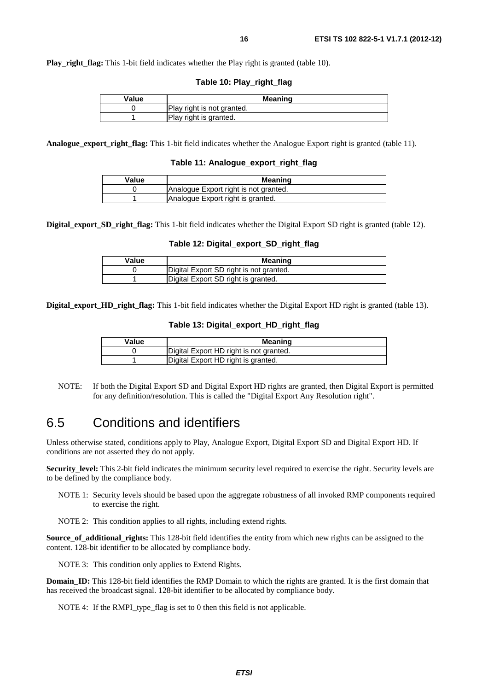**Play right flag:** This 1-bit field indicates whether the Play right is granted (table 10).

**Table 10: Play\_right\_flag** 

| Value | Meaning                    |
|-------|----------------------------|
|       | Play right is not granted. |
|       | Play right is granted.     |

**Analogue\_export\_right\_flag:** This 1-bit field indicates whether the Analogue Export right is granted (table 11).

**Table 11: Analogue\_export\_right\_flag**

| Value | <b>Meaning</b>                        |
|-------|---------------------------------------|
|       | Analogue Export right is not granted. |
|       | Analogue Export right is granted.     |

**Digital\_export\_SD\_right\_flag:** This 1-bit field indicates whether the Digital Export SD right is granted (table 12).

#### **Table 12: Digital\_export\_SD\_right\_flag**

| Value | <b>Meaning</b>                          |
|-------|-----------------------------------------|
|       | Digital Export SD right is not granted. |
|       | Digital Export SD right is granted.     |

**Digital\_export\_HD\_right\_flag:** This 1-bit field indicates whether the Digital Export HD right is granted (table 13).

#### **Table 13: Digital\_export\_HD\_right\_flag**

| Value | Meaning                                 |
|-------|-----------------------------------------|
|       | Digital Export HD right is not granted. |
|       | Digital Export HD right is granted.     |

NOTE: If both the Digital Export SD and Digital Export HD rights are granted, then Digital Export is permitted for any definition/resolution. This is called the "Digital Export Any Resolution right".

#### 6.5 Conditions and identifiers

Unless otherwise stated, conditions apply to Play, Analogue Export, Digital Export SD and Digital Export HD. If conditions are not asserted they do not apply.

**Security\_level:** This 2-bit field indicates the minimum security level required to exercise the right. Security levels are to be defined by the compliance body.

NOTE 1: Security levels should be based upon the aggregate robustness of all invoked RMP components required to exercise the right.

NOTE 2: This condition applies to all rights, including extend rights.

**Source\_of\_additional\_rights:** This 128-bit field identifies the entity from which new rights can be assigned to the content. 128-bit identifier to be allocated by compliance body.

NOTE 3: This condition only applies to Extend Rights.

**Domain\_ID:** This 128-bit field identifies the RMP Domain to which the rights are granted. It is the first domain that has received the broadcast signal. 128-bit identifier to be allocated by compliance body.

NOTE 4: If the RMPI type flag is set to 0 then this field is not applicable.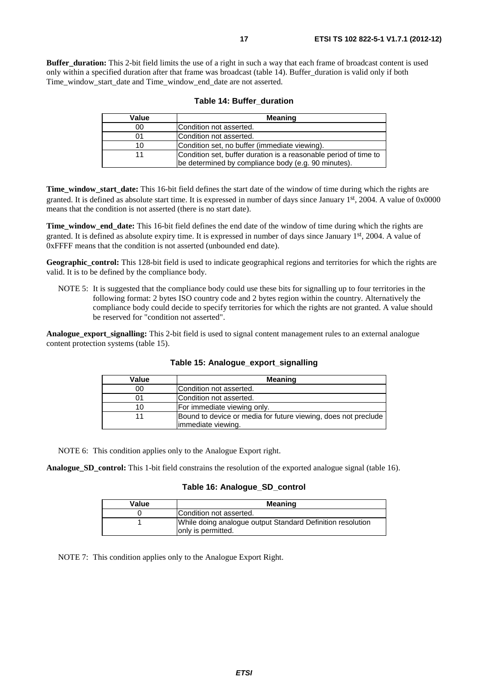**Buffer duration:** This 2-bit field limits the use of a right in such a way that each frame of broadcast content is used only within a specified duration after that frame was broadcast (table 14). Buffer\_duration is valid only if both Time\_window\_start\_date and Time\_window\_end\_date are not asserted.

| Value | <b>Meaning</b>                                                                                                          |
|-------|-------------------------------------------------------------------------------------------------------------------------|
| 00    | lCondition not asserted.                                                                                                |
| 01    | Condition not asserted.                                                                                                 |
| 10    | Condition set, no buffer (immediate viewing).                                                                           |
|       | Condition set, buffer duration is a reasonable period of time to<br>be determined by compliance body (e.g. 90 minutes). |

|  |  |  | Table 14: Buffer duration |
|--|--|--|---------------------------|
|--|--|--|---------------------------|

**Time\_window\_start\_date:** This 16-bit field defines the start date of the window of time during which the rights are granted. It is defined as absolute start time. It is expressed in number of days since January 1st, 2004. A value of 0x0000 means that the condition is not asserted (there is no start date).

**Time\_window\_end\_date:** This 16-bit field defines the end date of the window of time during which the rights are granted. It is defined as absolute expiry time. It is expressed in number of days since January 1st, 2004. A value of 0xFFFF means that the condition is not asserted (unbounded end date).

**Geographic\_control:** This 128-bit field is used to indicate geographical regions and territories for which the rights are valid. It is to be defined by the compliance body.

NOTE 5: It is suggested that the compliance body could use these bits for signalling up to four territories in the following format: 2 bytes ISO country code and 2 bytes region within the country. Alternatively the compliance body could decide to specify territories for which the rights are not granted. A value should be reserved for "condition not asserted".

**Analogue export signalling:** This 2-bit field is used to signal content management rules to an external analogue content protection systems (table 15).

| Value | <b>Meaning</b>                                                 |
|-------|----------------------------------------------------------------|
| 00    | Condition not asserted.                                        |
|       | Condition not asserted.                                        |
| 10    | For immediate viewing only.                                    |
| 11    | Bound to device or media for future viewing, does not preclude |
|       | limmediate viewing.                                            |

**Table 15: Analogue\_export\_signalling**

NOTE 6: This condition applies only to the Analogue Export right.

**Analogue\_SD\_control:** This 1-bit field constrains the resolution of the exported analogue signal (table 16).

#### **Table 16: Analogue\_SD\_control**

| Value | <b>Meaning</b>                                                                    |
|-------|-----------------------------------------------------------------------------------|
|       | Condition not asserted.                                                           |
|       | While doing analogue output Standard Definition resolution<br>lonly is permitted. |

NOTE 7: This condition applies only to the Analogue Export Right.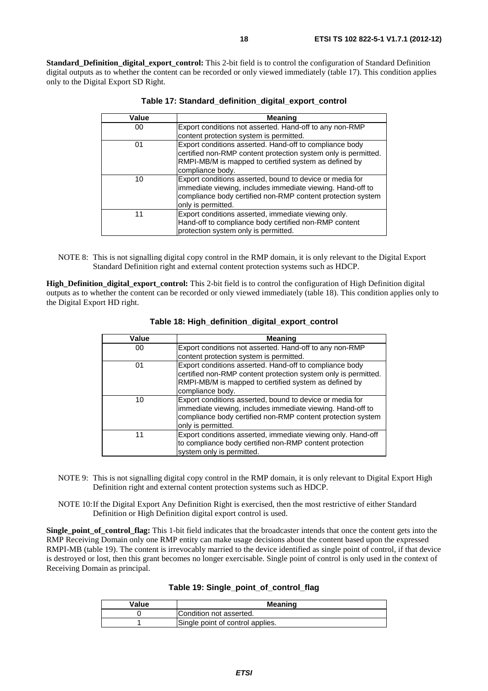**Standard Definition digital export control:** This 2-bit field is to control the configuration of Standard Definition digital outputs as to whether the content can be recorded or only viewed immediately (table 17). This condition applies only to the Digital Export SD Right.

| Value | Meaning                                                                                                                                                                                                     |
|-------|-------------------------------------------------------------------------------------------------------------------------------------------------------------------------------------------------------------|
| 00    | Export conditions not asserted. Hand-off to any non-RMP                                                                                                                                                     |
|       | content protection system is permitted.                                                                                                                                                                     |
| 01    | Export conditions asserted. Hand-off to compliance body<br>certified non-RMP content protection system only is permitted.<br>RMPI-MB/M is mapped to certified system as defined by<br>compliance body.      |
| 10    | Export conditions asserted, bound to device or media for<br>immediate viewing, includes immediate viewing. Hand-off to<br>compliance body certified non-RMP content protection system<br>only is permitted. |
| 11    | Export conditions asserted, immediate viewing only.<br>Hand-off to compliance body certified non-RMP content<br>protection system only is permitted.                                                        |

|  | Table 17: Standard_definition_digital_export_control |
|--|------------------------------------------------------|
|--|------------------------------------------------------|

NOTE 8: This is not signalling digital copy control in the RMP domain, it is only relevant to the Digital Export Standard Definition right and external content protection systems such as HDCP.

**High Definition digital export control:** This 2-bit field is to control the configuration of High Definition digital outputs as to whether the content can be recorded or only viewed immediately (table 18). This condition applies only to the Digital Export HD right.

| Value | <b>Meaning</b>                                                                                                                                                                                              |
|-------|-------------------------------------------------------------------------------------------------------------------------------------------------------------------------------------------------------------|
| 00    | Export conditions not asserted. Hand-off to any non-RMP<br>content protection system is permitted.                                                                                                          |
| 01    | Export conditions asserted. Hand-off to compliance body<br>certified non-RMP content protection system only is permitted.<br>RMPI-MB/M is mapped to certified system as defined by<br>compliance body.      |
| 10    | Export conditions asserted, bound to device or media for<br>immediate viewing, includes immediate viewing. Hand-off to<br>compliance body certified non-RMP content protection system<br>only is permitted. |
| 11    | Export conditions asserted, immediate viewing only. Hand-off<br>to compliance body certified non-RMP content protection<br>system only is permitted.                                                        |

**Table 18: High\_definition\_digital\_export\_control**

- NOTE 9: This is not signalling digital copy control in the RMP domain, it is only relevant to Digital Export High Definition right and external content protection systems such as HDCP.
- NOTE 10: If the Digital Export Any Definition Right is exercised, then the most restrictive of either Standard Definition or High Definition digital export control is used.

**Single point of control flag:** This 1-bit field indicates that the broadcaster intends that once the content gets into the RMP Receiving Domain only one RMP entity can make usage decisions about the content based upon the expressed RMPI-MB (table 19). The content is irrevocably married to the device identified as single point of control, if that device is destroyed or lost, then this grant becomes no longer exercisable. Single point of control is only used in the context of Receiving Domain as principal.

|  |  |  |  |  | Table 19: Single_point_of_control_flag |  |
|--|--|--|--|--|----------------------------------------|--|
|--|--|--|--|--|----------------------------------------|--|

| Value | <b>Meaning</b>                   |  |
|-------|----------------------------------|--|
|       | Condition not asserted.          |  |
|       | Single point of control applies. |  |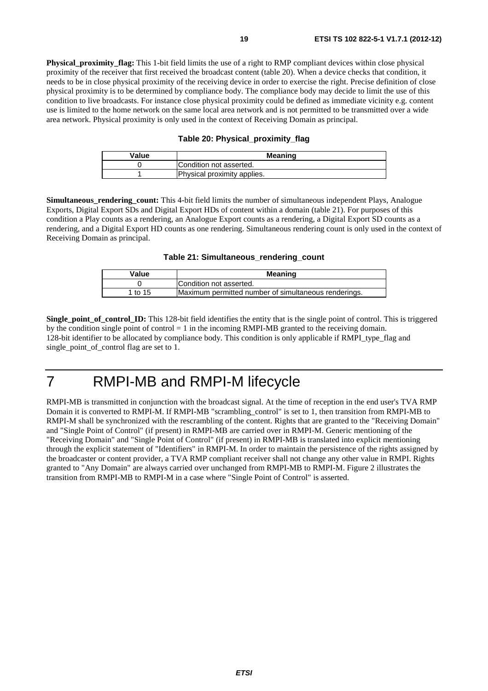**Physical proximity flag:** This 1-bit field limits the use of a right to RMP compliant devices within close physical proximity of the receiver that first received the broadcast content (table 20). When a device checks that condition, it needs to be in close physical proximity of the receiving device in order to exercise the right. Precise definition of close physical proximity is to be determined by compliance body. The compliance body may decide to limit the use of this condition to live broadcasts. For instance close physical proximity could be defined as immediate vicinity e.g. content use is limited to the home network on the same local area network and is not permitted to be transmitted over a wide area network. Physical proximity is only used in the context of Receiving Domain as principal.

#### **Table 20: Physical\_proximity\_flag**

| Value | <b>Meaning</b>              |
|-------|-----------------------------|
|       | Condition not asserted.     |
|       | Physical proximity applies. |

**Simultaneous rendering count:** This 4-bit field limits the number of simultaneous independent Plays, Analogue Exports, Digital Export SDs and Digital Export HDs of content within a domain (table 21). For purposes of this condition a Play counts as a rendering, an Analogue Export counts as a rendering, a Digital Export SD counts as a rendering, and a Digital Export HD counts as one rendering. Simultaneous rendering count is only used in the context of Receiving Domain as principal.

**Table 21: Simultaneous\_rendering\_count**

| Value   | <b>Meaning</b>                                       |  |
|---------|------------------------------------------------------|--|
|         | Condition not asserted.                              |  |
| 1 to 15 | Maximum permitted number of simultaneous renderings. |  |

**Single\_point\_of\_control\_ID:** This 128-bit field identifies the entity that is the single point of control. This is triggered by the condition single point of control  $= 1$  in the incoming RMPI-MB granted to the receiving domain. 128-bit identifier to be allocated by compliance body. This condition is only applicable if RMPI\_type\_flag and single point of control flag are set to 1.

# 7 RMPI-MB and RMPI-M lifecycle

RMPI-MB is transmitted in conjunction with the broadcast signal. At the time of reception in the end user's TVA RMP Domain it is converted to RMPI-M. If RMPI-MB "scrambling\_control" is set to 1, then transition from RMPI-MB to RMPI-M shall be synchronized with the rescrambling of the content. Rights that are granted to the "Receiving Domain" and "Single Point of Control" (if present) in RMPI-MB are carried over in RMPI-M. Generic mentioning of the "Receiving Domain" and "Single Point of Control" (if present) in RMPI-MB is translated into explicit mentioning through the explicit statement of "Identifiers" in RMPI-M. In order to maintain the persistence of the rights assigned by the broadcaster or content provider, a TVA RMP compliant receiver shall not change any other value in RMPI. Rights granted to "Any Domain" are always carried over unchanged from RMPI-MB to RMPI-M. Figure 2 illustrates the transition from RMPI-MB to RMPI-M in a case where "Single Point of Control" is asserted.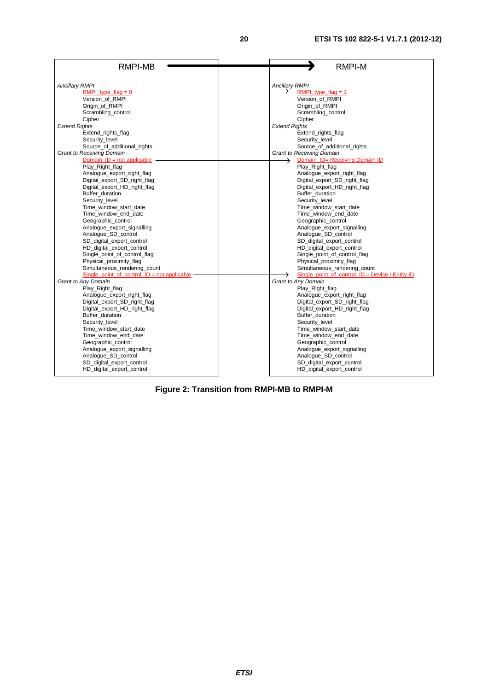| RMPI-MB                                       | <b>RMPI-M</b>                                     |
|-----------------------------------------------|---------------------------------------------------|
| <b>Ancillary RMPI</b>                         | <b>Ancillary RMPI</b>                             |
| RMPI type $flag = 0$                          | RMPI type $flag = 1$                              |
| Version of RMPI                               | Version of RMPI                                   |
| Origin_of_RMPI                                | Origin of RMPI                                    |
| Scrambling_control                            | Scrambling_control                                |
| Cipher                                        | Cipher                                            |
| <b>Extend Rights</b>                          | <b>Extend Rights</b>                              |
| Extend rights flag                            | Extend rights flag                                |
| Security_level                                | Security level                                    |
| Source_of_additional_rights                   | Source_of_additional_rights                       |
| <b>Grant to Receiving Domain</b>              | <b>Grant to Receiving Domain</b>                  |
| Domain $ID = not applicable$                  | Domain_ID= Receiving Domain ID<br>→               |
| Play_Right_flag                               | Play_Right_flag                                   |
| Analogue_export_right_flag                    | Analogue_export_right_flag                        |
| Digital_export_SD_right_flag                  | Digital_export_SD_right_flag                      |
| Digital export HD right flag                  | Digital export HD right flag                      |
| Buffer duration                               | Buffer duration                                   |
| Security_level                                | Security level                                    |
| Time_window_start_date                        | Time_window_start_date                            |
| Time_window_end_date                          | Time_window_end_date                              |
| Geographic control                            | Geographic control                                |
| Analogue_export_signalling                    | Analogue_export_signalling                        |
| Analogue_SD_control                           | Analogue_SD_control                               |
| SD digital export control                     | SD_digital_export_control                         |
| HD_digital_export_control                     | HD_digital_export_control                         |
| Single_point_of_control_flag                  | Single_point_of_control_flag                      |
| Physical_proximity_flag                       | Physical_proximity_flag                           |
| Simultaneous_rendering_count                  | Simultaneous_rendering_count                      |
| Single point of control $ID = not applicable$ | Single point of control $ID = Device / Entity ID$ |
| Grant to Any Domain                           | Grant to Any Domain                               |
| Play_Right_flag                               | Play_Right_flag                                   |
| Analogue_export_right_flag                    | Analogue_export_right_flag                        |
| Digital_export_SD_right_flag                  | Digital_export_SD_right_flag                      |
| Digital_export_HD_right_flag                  | Digital_export_HD_right_flag                      |
| Buffer duration                               | Buffer duration                                   |
| Security_level                                | Security level                                    |
| Time window start date                        | Time window start date                            |
| Time_window_end_date                          | Time_window_end_date                              |
| Geographic_control                            | Geographic_control                                |
| Analogue_export_signalling                    | Analogue_export_signalling                        |
| Analogue_SD_control                           | Analogue_SD_control                               |
| SD_digital_export_control                     | SD_digital_export_control                         |
| HD_digital_export_control                     | HD_digital_export_control                         |

**Figure 2: Transition from RMPI-MB to RMPI-M**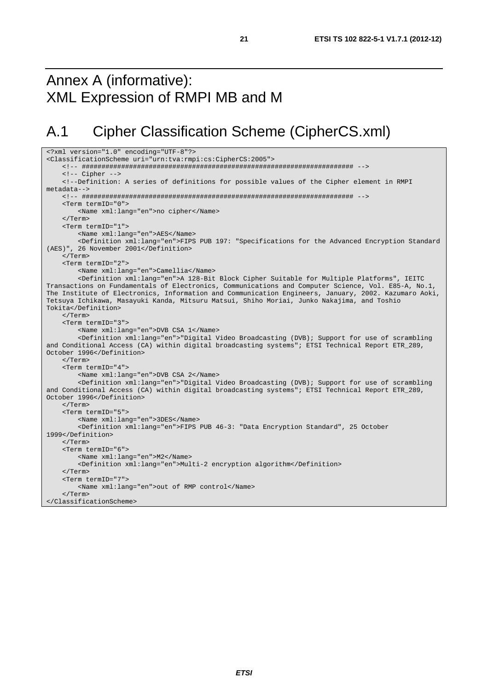## Annex A (informative): XML Expression of RMPI MB and M

# A.1 Cipher Classification Scheme (CipherCS.xml)

```
<?xml version="1.0" encoding="UTF-8"?> 
<ClassificationScheme uri="urn:tva:rmpi:cs:CipherCS:2005"> 
     <!-- ##################################################################### --> 
     <!-- Cipher --> 
     <!--Definition: A series of definitions for possible values of the Cipher element in RMPI 
metadata--> 
     <!-- ##################################################################### --> 
     <Term termID="0"> 
         <Name xml:lang="en">no cipher</Name> 
     </Term> 
     <Term termID="1"> 
         <Name xml:lang="en">AES</Name> 
         <Definition xml:lang="en">FIPS PUB 197: "Specifications for the Advanced Encryption Standard 
(AES)", 26 November 2001</Definition> 
     </Term> 
     <Term termID="2"> 
         <Name xml:lang="en">Camellia</Name> 
         <Definition xml:lang="en">A 128-Bit Block Cipher Suitable for Multiple Platforms", IEITC 
Transactions on Fundamentals of Electronics, Communications and Computer Science, Vol. E85-A, No.1, 
The Institute of Electronics, Information and Communication Engineers, January, 2002. Kazumaro Aoki, 
Tetsuya Ichikawa, Masayuki Kanda, Mitsuru Matsui, Shiho Moriai, Junko Nakajima, and Toshio 
Tokita</Definition> 
     </Term> 
     <Term termID="3"> 
         <Name xml:lang="en">DVB CSA 1</Name> 
         <Definition xml:lang="en">"Digital Video Broadcasting (DVB); Support for use of scrambling 
and Conditional Access (CA) within digital broadcasting systems"; ETSI Technical Report ETR_289, 
October 1996</Definition> 
     </Term> 
     <Term termID="4"> 
         <Name xml:lang="en">DVB CSA 2</Name> 
         <Definition xml:lang="en">"Digital Video Broadcasting (DVB); Support for use of scrambling 
and Conditional Access (CA) within digital broadcasting systems"; ETSI Technical Report ETR_289, 
October 1996</Definition> 
     </Term> 
     <Term termID="5"> 
         <Name xml:lang="en">3DES</Name> 
         <Definition xml:lang="en">FIPS PUB 46-3: "Data Encryption Standard", 25 October 
1999</Definition> 
     </Term> 
     <Term termID="6"> 
         <Name xml:lang="en">M2</Name> 
         <Definition xml:lang="en">Multi-2 encryption algorithm</Definition> 
     </Term> 
     <Term termID="7"> 
        <Name xml:lang="en">out of RMP control</Name> 
     </Term> 
</ClassificationScheme>
```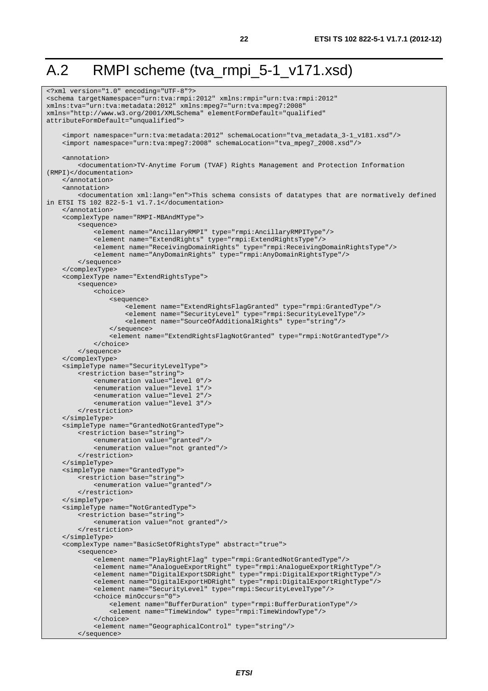# A.2 RMPI scheme (tva\_rmpi\_5-1\_v171.xsd)

```
<?xml version="1.0" encoding="UTF-8"?> 
<schema targetNamespace="urn:tva:rmpi:2012" xmlns:rmpi="urn:tva:rmpi:2012" 
xmlns:tva="urn:tva:metadata:2012" xmlns:mpeg7="urn:tva:mpeg7:2008" 
xmlns="http://www.w3.org/2001/XMLSchema" elementFormDefault="qualified" 
attributeFormDefault="unqualified"> 
     <import namespace="urn:tva:metadata:2012" schemaLocation="tva_metadata_3-1_v181.xsd"/> 
     <import namespace="urn:tva:mpeg7:2008" schemaLocation="tva_mpeg7_2008.xsd"/> 
     <annotation> 
         <documentation>TV-Anytime Forum (TVAF) Rights Management and Protection Information 
(RMPI)</documentation> 
     </annotation> 
     <annotation> 
         <documentation xml:lang="en">This schema consists of datatypes that are normatively defined 
in ETSI TS 102 822-5-1 v1.7.1</documentation> 
     </annotation> 
     <complexType name="RMPI-MBAndMType"> 
         <sequence> 
             <element name="AncillaryRMPI" type="rmpi:AncillaryRMPIType"/> 
             <element name="ExtendRights" type="rmpi:ExtendRightsType"/> 
             <element name="ReceivingDomainRights" type="rmpi:ReceivingDomainRightsType"/> 
             <element name="AnyDomainRights" type="rmpi:AnyDomainRightsType"/> 
         </sequence> 
     </complexType> 
     <complexType name="ExtendRightsType"> 
         <sequence> 
             <choice> 
                  <sequence> 
                      <element name="ExtendRightsFlagGranted" type="rmpi:GrantedType"/> 
                      <element name="SecurityLevel" type="rmpi:SecurityLevelType"/> 
                      <element name="SourceOfAdditionalRights" type="string"/> 
                  </sequence> 
                  <element name="ExtendRightsFlagNotGranted" type="rmpi:NotGrantedType"/> 
             </choice> 
         </sequence> 
     </complexType> 
     <simpleType name="SecurityLevelType"> 
         <restriction base="string"> 
             <enumeration value="level 0"/> 
             <enumeration value="level 1"/> 
             <enumeration value="level 2"/> 
             <enumeration value="level 3"/> 
         </restriction> 
     </simpleType> 
     <simpleType name="GrantedNotGrantedType"> 
         <restriction base="string"> 
             <enumeration value="granted"/> 
             <enumeration value="not granted"/> 
         </restriction> 
     </simpleType> 
     <simpleType name="GrantedType"> 
         <restriction base="string"> 
             <enumeration value="granted"/> 
         </restriction> 
     </simpleType> 
     <simpleType name="NotGrantedType"> 
         <restriction base="string"> 
             <enumeration value="not granted"/> 
         </restriction> 
     </simpleType> 
     <complexType name="BasicSetOfRightsType" abstract="true"> 
         <sequence> 
             <element name="PlayRightFlag" type="rmpi:GrantedNotGrantedType"/> 
 <element name="AnalogueExportRight" type="rmpi:AnalogueExportRightType"/> 
 <element name="DigitalExportSDRight" type="rmpi:DigitalExportRightType"/> 
             <element name="DigitalExportHDRight" type="rmpi:DigitalExportRightType"/> 
              <element name="SecurityLevel" type="rmpi:SecurityLevelType"/> 
             <choice minOccurs="0"> 
                  <element name="BufferDuration" type="rmpi:BufferDurationType"/> 
                  <element name="TimeWindow" type="rmpi:TimeWindowType"/> 
              </choice> 
              <element name="GeographicalControl" type="string"/> 
         </sequence>
```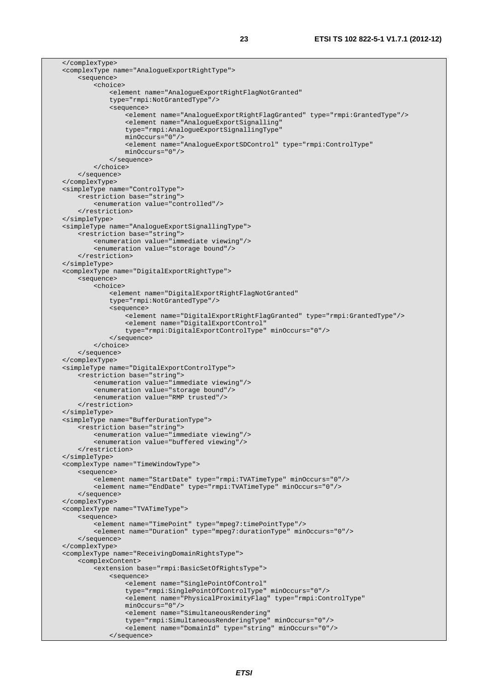</complexType> <complexType name="AnalogueExportRightType"> <sequence> <choice> <element name="AnalogueExportRightFlagNotGranted" type="rmpi:NotGrantedType"/> <sequence> <element name="AnalogueExportRightFlagGranted" type="rmpi:GrantedType"/> <element name="AnalogueExportSignalling" type="rmpi:AnalogueExportSignallingType" minOccurs="0"/> <element name="AnalogueExportSDControl" type="rmpi:ControlType" minOccurs="0"/> </sequence> </choice> </sequence> </complexType> <simpleType name="ControlType"> <restriction base="string"> <enumeration value="controlled"/> </restriction> </simpleType> <simpleType name="AnalogueExportSignallingType"> <restriction base="string"> <enumeration value="immediate viewing"/> <enumeration value="storage bound"/> </restriction> </simpleType> <complexType name="DigitalExportRightType"> <sequence> <choice> <element name="DigitalExportRightFlagNotGranted" type="rmpi:NotGrantedType"/> <sequence> <element name="DigitalExportRightFlagGranted" type="rmpi:GrantedType"/> <element name="DigitalExportControl" type="rmpi:DigitalExportControlType" minOccurs="0"/> </sequence> </choice> </sequence> </complexType> <simpleType name="DigitalExportControlType"> <restriction base="string"> <enumeration value="immediate viewing"/> <enumeration value="storage bound"/> <enumeration value="RMP trusted"/> </restriction> </simpleType> <simpleType name="BufferDurationType"> <restriction base="string"> <enumeration value="immediate viewing"/> <enumeration value="buffered viewing"/> </restriction> </simpleType> <complexType name="TimeWindowType"> <sequence> <element name="StartDate" type="rmpi:TVATimeType" minOccurs="0"/> <element name="EndDate" type="rmpi:TVATimeType" minOccurs="0"/> </sequence> </complexType> <complexType name="TVATimeType"> <sequence> <element name="TimePoint" type="mpeg7:timePointType"/> <element name="Duration" type="mpeg7:durationType" minOccurs="0"/> </sequence> </complexType> <complexType name="ReceivingDomainRightsType"> <complexContent> <extension base="rmpi:BasicSetOfRightsType"> <sequence> <element name="SinglePointOfControl" type="rmpi:SinglePointOfControlType" minOccurs="0"/> <element name="PhysicalProximityFlag" type="rmpi:ControlType" minOccurs="0"/> <element name="SimultaneousRendering" type="rmpi:SimultaneousRenderingType" minOccurs="0"/> <element name="DomainId" type="string" minOccurs="0"/> </sequence>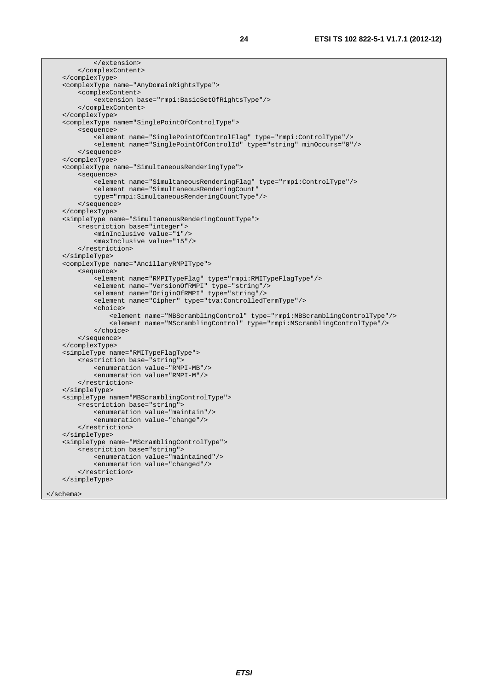```
 </extension> 
     </complexContent> 
 </complexType> 
 <complexType name="AnyDomainRightsType"> 
     <complexContent> 
         <extension base="rmpi:BasicSetOfRightsType"/> 
     </complexContent> 
 </complexType> 
 <complexType name="SinglePointOfControlType"> 
     <sequence> 
          <element name="SinglePointOfControlFlag" type="rmpi:ControlType"/> 
          <element name="SinglePointOfControlId" type="string" minOccurs="0"/> 
     </sequence> 
 </complexType> 
 <complexType name="SimultaneousRenderingType"> 
     <sequence> 
         <element name="SimultaneousRenderingFlag" type="rmpi:ControlType"/> 
         <element name="SimultaneousRenderingCount" 
         type="rmpi:SimultaneousRenderingCountType"/> 
     </sequence> 
 </complexType> 
 <simpleType name="SimultaneousRenderingCountType"> 
     <restriction base="integer"> 
         <minInclusive value="1"/> 
         <maxInclusive value="15"/> 
     </restriction> 
 </simpleType> 
 <complexType name="AncillaryRMPIType"> 
     <sequence> 
         <element name="RMPITypeFlag" type="rmpi:RMITypeFlagType"/> 
         <element name="VersionOfRMPI" type="string"/> 
         <element name="OriginOfRMPI" type="string"/> 
         <element name="Cipher" type="tva:ControlledTermType"/> 
         <choice> 
              <element name="MBScramblingControl" type="rmpi:MBScramblingControlType"/> 
              <element name="MScramblingControl" type="rmpi:MScramblingControlType"/> 
         </choice> 
     </sequence> 
 </complexType> 
 <simpleType name="RMITypeFlagType"> 
     <restriction base="string"> 
         <enumeration value="RMPI-MB"/> 
         <enumeration value="RMPI-M"/> 
     </restriction> 
 </simpleType> 
 <simpleType name="MBScramblingControlType"> 
     <restriction base="string"> 
         <enumeration value="maintain"/> 
         <enumeration value="change"/> 
     </restriction> 
 </simpleType> 
 <simpleType name="MScramblingControlType"> 
     <restriction base="string"> 
         <enumeration value="maintained"/> 
         <enumeration value="changed"/> 
     </restriction> 
 </simpleType>
```

```
</schema>
```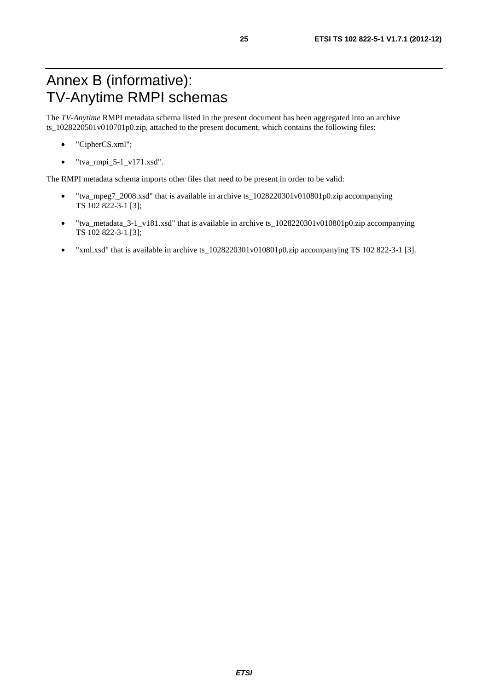# Annex B (informative): TV-Anytime RMPI schemas

The *TV-Anytime* RMPI metadata schema listed in the present document has been aggregated into an archive ts\_1028220501v010701p0.zip, attached to the present document, which contains the following files:

- "CipherCS.xml";
- $\bullet$  "tva\_rmpi\_5-1\_v171.xsd".

The RMPI metadata schema imports other files that need to be present in order to be valid:

- "tva\_mpeg7\_2008.xsd" that is available in archive ts\_1028220301v010801p0.zip accompanying TS 102 822-3-1 [3];
- "tva\_metadata\_3-1\_v181.xsd" that is available in archive ts\_1028220301v010801p0.zip accompanying TS 102 822-3-1 [3];
- "xml.xsd" that is available in archive ts\_1028220301v010801p0.zip accompanying TS 102 822-3-1 [3].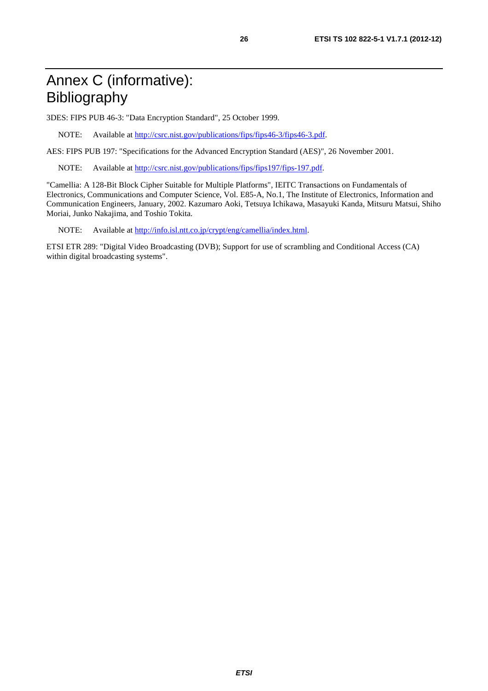# Annex C (informative): Bibliography

3DES: FIPS PUB 46-3: "Data Encryption Standard", 25 October 1999.

NOTE: Available at [http://csrc.nist.gov/publications/fips/fips46-3/fips46-3.pd](http://csrc.nist.gov/publications/fips/fips46-3/fips46-3.pdf)f.

AES: FIPS PUB 197: "Specifications for the Advanced Encryption Standard (AES)", 26 November 2001.

NOTE: Available at<http://csrc.nist.gov/publications/fips/fips197/fips-197.pdf>.

"Camellia: A 128-Bit Block Cipher Suitable for Multiple Platforms", IEITC Transactions on Fundamentals of Electronics, Communications and Computer Science, Vol. E85-A, No.1, The Institute of Electronics, Information and Communication Engineers, January, 2002. Kazumaro Aoki, Tetsuya Ichikawa, Masayuki Kanda, Mitsuru Matsui, Shiho Moriai, Junko Nakajima, and Toshio Tokita.

NOTE: Available at [http://info.isl.ntt.co.jp/crypt/eng/camellia/index.htm](http://info.isl.ntt.co.jp/crypt/eng/camellia/index.html)l.

ETSI ETR 289: "Digital Video Broadcasting (DVB); Support for use of scrambling and Conditional Access (CA) within digital broadcasting systems".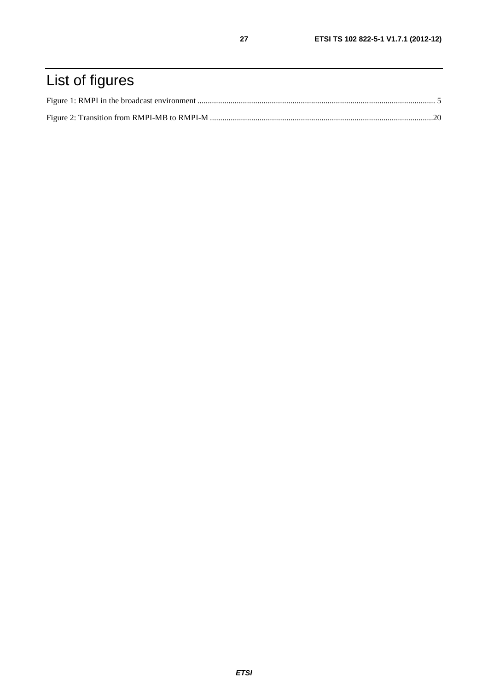# List of figures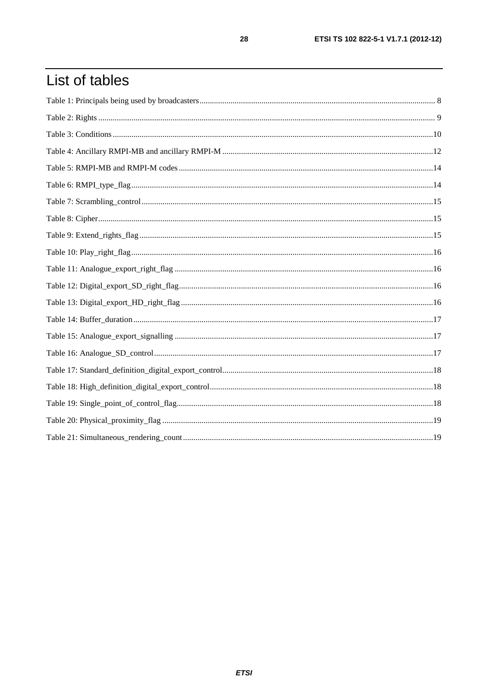# List of tables